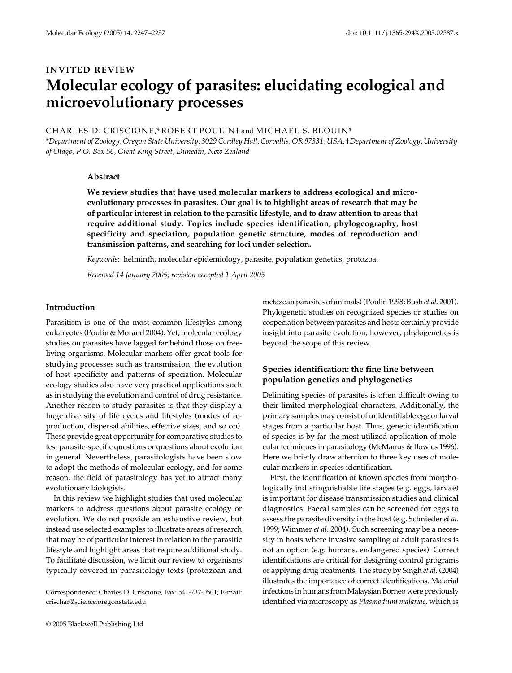# Blackwell Publishing, Ltd. **INVITED REVIEW** MOLECULAR ECOLOGY OF PARASITES **Molecular ecology of parasites: elucidating ecological and microevolutionary processes**

# CHARLES D. CRISCIONE,\* ROBERT POULIN† and MICHAEL S. BLOUIN\*

\**Department of Zoology, Oregon State University, 3029 Cordley Hall, Corvallis, OR 97331, USA,* †*Department of Zoology, University of Otago, P.O. Box 56, Great King Street, Dunedin, New Zealand* 

## **Abstract**

**We review studies that have used molecular markers to address ecological and microevolutionary processes in parasites. Our goal is to highlight areas of research that may be of particular interest in relation to the parasitic lifestyle, and to draw attention to areas that require additional study. Topics include species identification, phylogeography, host specificity and speciation, population genetic structure, modes of reproduction and transmission patterns, and searching for loci under selection.**

*Keywords*: helminth, molecular epidemiology, parasite, population genetics, protozoa.

*Received 14 January 2005; revision accepted 1 April 2005*

## **Introduction**

Parasitism is one of the most common lifestyles among eukaryotes (Poulin & Morand 2004). Yet, molecular ecology studies on parasites have lagged far behind those on freeliving organisms. Molecular markers offer great tools for studying processes such as transmission, the evolution of host specificity and patterns of speciation. Molecular ecology studies also have very practical applications such as in studying the evolution and control of drug resistance. Another reason to study parasites is that they display a huge diversity of life cycles and lifestyles (modes of reproduction, dispersal abilities, effective sizes, and so on). These provide great opportunity for comparative studies to test parasite-specific questions or questions about evolution in general. Nevertheless, parasitologists have been slow to adopt the methods of molecular ecology, and for some reason, the field of parasitology has yet to attract many evolutionary biologists.

In this review we highlight studies that used molecular markers to address questions about parasite ecology or evolution. We do not provide an exhaustive review, but instead use selected examples to illustrate areas of research that may be of particular interest in relation to the parasitic lifestyle and highlight areas that require additional study. To facilitate discussion, we limit our review to organisms typically covered in parasitology texts (protozoan and

Correspondence: Charles D. Criscione, Fax: 541-737-0501; E-mail: crischar@science.oregonstate.edu

metazoan parasites of animals) (Poulin 1998; Bush *et al*. 2001). Phylogenetic studies on recognized species or studies on cospeciation between parasites and hosts certainly provide insight into parasite evolution; however, phylogenetics is beyond the scope of this review.

# **Species identification: the fine line between population genetics and phylogenetics**

Delimiting species of parasites is often difficult owing to their limited morphological characters. Additionally, the primary samples may consist of unidentifiable egg or larval stages from a particular host. Thus, genetic identification of species is by far the most utilized application of molecular techniques in parasitology (McManus & Bowles 1996). Here we briefly draw attention to three key uses of molecular markers in species identification.

First, the identification of known species from morphologically indistinguishable life stages (e.g. eggs, larvae) is important for disease transmission studies and clinical diagnostics. Faecal samples can be screened for eggs to assess the parasite diversity in the host (e.g. Schnieder *et al*. 1999; Wimmer *et al*. 2004). Such screening may be a necessity in hosts where invasive sampling of adult parasites is not an option (e.g. humans, endangered species). Correct identifications are critical for designing control programs or applying drug treatments. The study by Singh *et al*. (2004) illustrates the importance of correct identifications. Malarial infections in humans from Malaysian Borneo were previously identified via microscopy as *Plasmodium malariae*, which is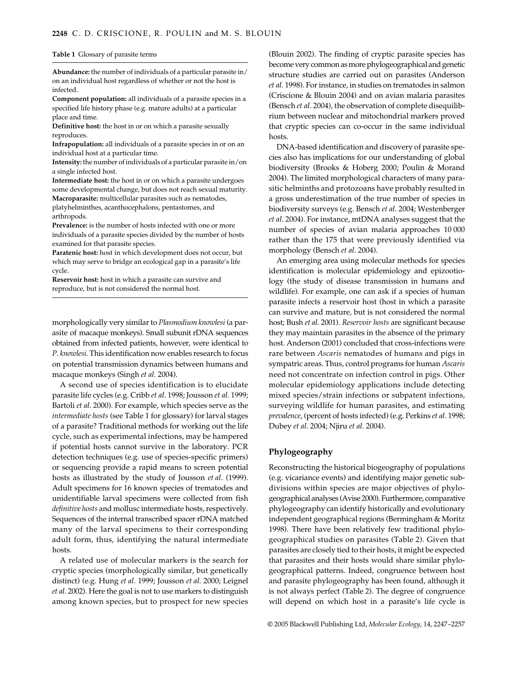#### **Table 1** Glossary of parasite terms

**Abundance:** the number of individuals of a particular parasite in/ on an individual host regardless of whether or not the host is infected.

**Component population:** all individuals of a parasite species in a specified life history phase (e.g. mature adults) at a particular place and time.

**Definitive host:** the host in or on which a parasite sexually reproduces.

**Infrapopulation:** all individuals of a parasite species in or on an individual host at a particular time.

**Intensity:** the number of individuals of a particular parasite in/on a single infected host.

**Intermediate host:** the host in or on which a parasite undergoes some developmental change, but does not reach sexual maturity. **Macroparasite:** multicellular parasites such as nematodes,

platyhelminthes, acanthocephalons, pentastomes, and arthropods.

**Prevalence:** is the number of hosts infected with one or more individuals of a parasite species divided by the number of hosts examined for that parasite species.

**Paratenic host:** host in which development does not occur, but which may serve to bridge an ecological gap in a parasite's life cycle.

**Reservoir host:** host in which a parasite can survive and reproduce, but is not considered the normal host.

morphologically very similar to *Plasmodium knowlesi* (a parasite of macaque monkeys). Small subunit rDNA sequences obtained from infected patients, however, were identical to *P. knowlesi*. This identification now enables research to focus on potential transmission dynamics between humans and macaque monkeys (Singh *et al*. 2004).

A second use of species identification is to elucidate parasite life cycles (e.g. Cribb *et al*. 1998; Jousson *et al*. 1999; Bartoli *et al*. 2000). For example, which species serve as the *intermediate hosts* (see Table 1 for glossary) for larval stages of a parasite? Traditional methods for working out the life cycle, such as experimental infections, may be hampered if potential hosts cannot survive in the laboratory. PCR detection techniques (e.g. use of species-specific primers) or sequencing provide a rapid means to screen potential hosts as illustrated by the study of Jousson *et al*. (1999). Adult specimens for 16 known species of trematodes and unidentifiable larval specimens were collected from fish *definitive hosts* and mollusc intermediate hosts, respectively. Sequences of the internal transcribed spacer rDNA matched many of the larval specimens to their corresponding adult form, thus, identifying the natural intermediate hosts.

A related use of molecular markers is the search for cryptic species (morphologically similar, but genetically distinct) (e.g. Hung *et al*. 1999; Jousson *et al*. 2000; Leignel *et al*. 2002). Here the goal is not to use markers to distinguish among known species, but to prospect for new species

(Blouin 2002). The finding of cryptic parasite species has become very common as more phylogeographical and genetic structure studies are carried out on parasites (Anderson *et al*. 1998). For instance, in studies on trematodes in salmon (Criscione & Blouin 2004) and on avian malaria parasites (Bensch *et al*. 2004), the observation of complete disequilibrium between nuclear and mitochondrial markers proved that cryptic species can co-occur in the same individual hosts.

DNA-based identification and discovery of parasite species also has implications for our understanding of global biodiversity (Brooks & Hoberg 2000; Poulin & Morand 2004). The limited morphological characters of many parasitic helminths and protozoans have probably resulted in a gross underestimation of the true number of species in biodiversity surveys (e.g. Bensch *et al*. 2004; Westenberger *et al*. 2004). For instance, mtDNA analyses suggest that the number of species of avian malaria approaches 10 000 rather than the 175 that were previously identified via morphology (Bensch *et al*. 2004).

An emerging area using molecular methods for species identification is molecular epidemiology and epizootiology (the study of disease transmission in humans and wildlife). For example, one can ask if a species of human parasite infects a reservoir host (host in which a parasite can survive and mature, but is not considered the normal host; Bush *et al*. 2001). *Reservoir hosts* are significant because they may maintain parasites in the absence of the primary host. Anderson (2001) concluded that cross-infections were rare between *Ascaris* nematodes of humans and pigs in sympatric areas. Thus, control programs for human *Ascaris* need not concentrate on infection control in pigs. Other molecular epidemiology applications include detecting mixed species/strain infections or subpatent infections, surveying wildlife for human parasites, and estimating *prevalence*, (percent of hosts infected) (e.g. Perkins *et al*. 1998; Dubey *et al*. 2004; Njiru *et al*. 2004).

## **Phylogeography**

Reconstructing the historical biogeography of populations (e.g. vicariance events) and identifying major genetic subdivisions within species are major objectives of phylogeographical analyses (Avise 2000). Furthermore, comparative phylogeography can identify historically and evolutionary independent geographical regions (Bermingham & Moritz 1998). There have been relatively few traditional phylogeographical studies on parasites (Table 2). Given that parasites are closely tied to their hosts, it might be expected that parasites and their hosts would share similar phylogeographical patterns. Indeed, congruence between host and parasite phylogeography has been found, although it is not always perfect (Table 2). The degree of congruence will depend on which host in a parasite's life cycle is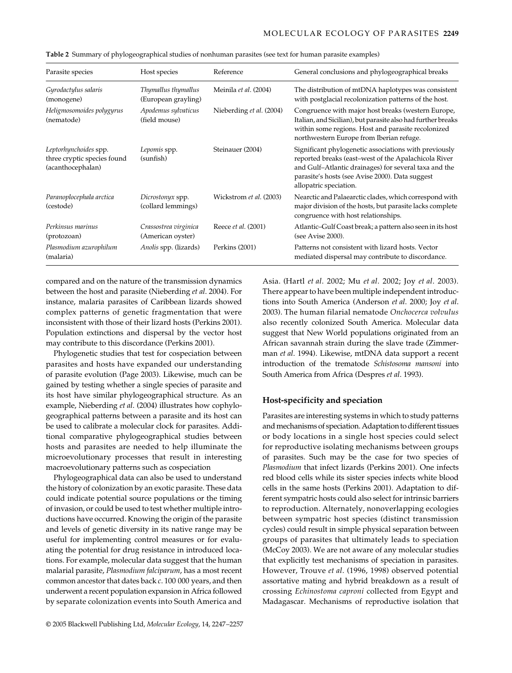| Parasite species                                                          | Host species                               | Reference                | General conclusions and phylogeographical breaks                                                                                                                                                                                                    |
|---------------------------------------------------------------------------|--------------------------------------------|--------------------------|-----------------------------------------------------------------------------------------------------------------------------------------------------------------------------------------------------------------------------------------------------|
| Gyrodactylus salaris<br>(monogene)                                        | Thymallus thymallus<br>(European grayling) | Meinila et al. (2004)    | The distribution of mtDNA haplotypes was consistent<br>with postglacial recolonization patterns of the host.                                                                                                                                        |
| Heligmosomoides polygyrus<br>(nematode)                                   | Apodemus sylvaticus<br>(field mouse)       | Nieberding et al. (2004) | Congruence with major host breaks (western Europe,<br>Italian, and Sicilian), but parasite also had further breaks<br>within some regions. Host and parasite recolonized<br>northwestern Europe from Iberian refuge.                                |
| Leptorhynchoides spp.<br>three cryptic species found<br>(acanthocephalan) | Lepomis spp.<br>(sunfish)                  | Steinauer (2004)         | Significant phylogenetic associations with previously<br>reported breaks (east-west of the Apalachicola River<br>and Gulf-Atlantic drainages) for several taxa and the<br>parasite's hosts (see Avise 2000). Data suggest<br>allopatric speciation. |
| Paranoplocephala arctica<br>(cestode)                                     | Dicrostonyx spp.<br>(collard lemmings)     | Wickstrom et al. (2003)  | Nearctic and Palaearctic clades, which correspond with<br>major division of the hosts, but parasite lacks complete<br>congruence with host relationships.                                                                                           |
| Perkinsus marinus<br>(protozoan)                                          | Crassostrea virginica<br>(American oyster) | Reece et al. (2001)      | Atlantic–Gulf Coast break; a pattern also seen in its host<br>(see Avise 2000).                                                                                                                                                                     |
| Plasmodium azurophilum<br>(malaria)                                       | Anolis spp. (lizards)                      | Perkins (2001)           | Patterns not consistent with lizard hosts. Vector<br>mediated dispersal may contribute to discordance.                                                                                                                                              |

| <b>Table 2</b> Summary of phylogeographical studies of nonhuman parasites (see text for human parasite examples) |
|------------------------------------------------------------------------------------------------------------------|
|------------------------------------------------------------------------------------------------------------------|

compared and on the nature of the transmission dynamics between the host and parasite (Nieberding *et al*. 2004). For instance, malaria parasites of Caribbean lizards showed complex patterns of genetic fragmentation that were inconsistent with those of their lizard hosts (Perkins 2001). Population extinctions and dispersal by the vector host may contribute to this discordance (Perkins 2001).

Phylogenetic studies that test for cospeciation between parasites and hosts have expanded our understanding of parasite evolution (Page 2003). Likewise, much can be gained by testing whether a single species of parasite and its host have similar phylogeographical structure. As an example, Nieberding *et al*. (2004) illustrates how cophylogeographical patterns between a parasite and its host can be used to calibrate a molecular clock for parasites. Additional comparative phylogeographical studies between hosts and parasites are needed to help illuminate the microevolutionary processes that result in interesting macroevolutionary patterns such as cospeciation

Phylogeographical data can also be used to understand the history of colonization by an exotic parasite. These data could indicate potential source populations or the timing of invasion, or could be used to test whether multiple introductions have occurred. Knowing the origin of the parasite and levels of genetic diversity in its native range may be useful for implementing control measures or for evaluating the potential for drug resistance in introduced locations. For example, molecular data suggest that the human malarial parasite, *Plasmodium falciparum*, has a most recent common ancestor that dates back *c*. 100 000 years, and then underwent a recent population expansion in Africa followed by separate colonization events into South America and

Asia. (Hartl *et al*. 2002; Mu *et al*. 2002; Joy *et al*. 2003). There appear to have been multiple independent introductions into South America (Anderson *et al*. 2000; Joy *et al*. 2003). The human filarial nematode *Onchocerca volvulus* also recently colonized South America. Molecular data suggest that New World populations originated from an African savannah strain during the slave trade (Zimmerman *et al*. 1994). Likewise, mtDNA data support a recent introduction of the trematode *Schistosoma mansoni* into South America from Africa (Despres *et al*. 1993).

#### **Host-specificity and speciation**

Parasites are interesting systems in which to study patterns and mechanisms of speciation. Adaptation to different tissues or body locations in a single host species could select for reproductive isolating mechanisms between groups of parasites. Such may be the case for two species of *Plasmodium* that infect lizards (Perkins 2001). One infects red blood cells while its sister species infects white blood cells in the same hosts (Perkins 2001). Adaptation to different sympatric hosts could also select for intrinsic barriers to reproduction. Alternately, nonoverlapping ecologies between sympatric host species (distinct transmission cycles) could result in simple physical separation between groups of parasites that ultimately leads to speciation (McCoy 2003). We are not aware of any molecular studies that explicitly test mechanisms of speciation in parasites. However, Trouve *et al*. (1996, 1998) observed potential assortative mating and hybrid breakdown as a result of crossing *Echinostoma caproni* collected from Egypt and Madagascar. Mechanisms of reproductive isolation that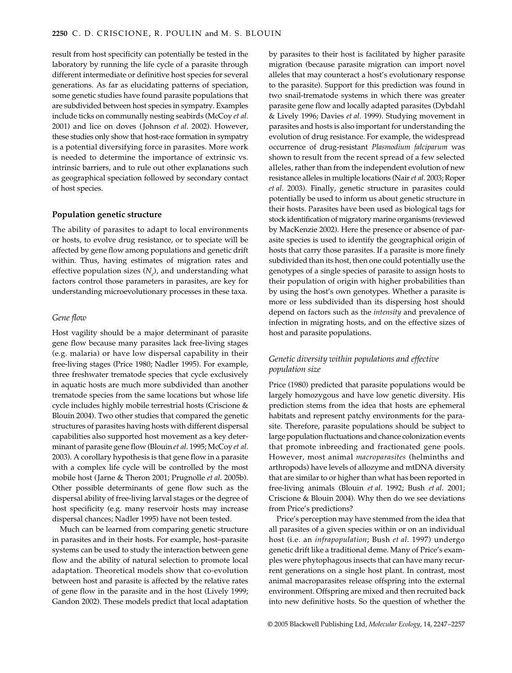result from host specificity can potentially be tested in the laboratory by running the life cycle of a parasite through different intermediate or definitive host species for several generations. As far as elucidating patterns of speciation, some genetic studies have found parasite populations that are subdivided between host species in sympatry. Examples include ticks on communally nesting seabirds (McCoy *et al*. 2001) and lice on doves (Johnson *et al*. 2002). However, these studies only show that host-race formation in sympatry is a potential diversifying force in parasites. More work is needed to determine the importance of extrinsic vs. intrinsic barriers, and to rule out other explanations such as geographical speciation followed by secondary contact of host species.

#### **Population genetic structure**

The ability of parasites to adapt to local environments or hosts, to evolve drug resistance, or to speciate will be affected by gene flow among populations and genetic drift within. Thus, having estimates of migration rates and effective population sizes (N<sub>e</sub>), and understanding what factors control those parameters in parasites, are key for understanding microevolutionary processes in these taxa.

#### *Gene flow*

Host vagility should be a major determinant of parasite gene flow because many parasites lack free-living stages (e.g. malaria) or have low dispersal capability in their free-living stages (Price 1980; Nadler 1995). For example, three freshwater trematode species that cycle exclusively in aquatic hosts are much more subdivided than another trematode species from the same locations but whose life cycle includes highly mobile terrestrial hosts (Criscione & Blouin 2004). Two other studies that compared the genetic structures of parasites having hosts with different dispersal capabilities also supported host movement as a key determinant of parasite gene flow (Blouin *et al*. 1995; McCoy *et al*. 2003). A corollary hypothesis is that gene flow in a parasite with a complex life cycle will be controlled by the most mobile host (Jarne & Theron 2001; Prugnolle *et al*. 2005b). Other possible determinants of gene flow such as the dispersal ability of free-living larval stages or the degree of host specificity (e.g. many reservoir hosts may increase dispersal chances; Nadler 1995) have not been tested.

Much can be learned from comparing genetic structure in parasites and in their hosts. For example, host–parasite systems can be used to study the interaction between gene flow and the ability of natural selection to promote local adaptation. Theoretical models show that co-evolution between host and parasite is affected by the relative rates of gene flow in the parasite and in the host (Lively 1999; Gandon 2002). These models predict that local adaptation by parasites to their host is facilitated by higher parasite migration (because parasite migration can import novel alleles that may counteract a host's evolutionary response to the parasite). Support for this prediction was found in two snail-trematode systems in which there was greater parasite gene flow and locally adapted parasites (Dybdahl & Lively 1996; Davies *et al*. 1999). Studying movement in parasites and hosts is also important for understanding the evolution of drug resistance. For example, the widespread occurrence of drug-resistant *Plasmodium falciparum* was shown to result from the recent spread of a few selected alleles, rather than from the independent evolution of new resistance alleles in multiple locations (Nair *et al*. 2003; Roper *et al*. 2003). Finally, genetic structure in parasites could potentially be used to inform us about genetic structure in their hosts. Parasites have been used as biological tags for stock identification of migratory marine organisms (reviewed by MacKenzie 2002). Here the presence or absence of parasite species is used to identify the geographical origin of hosts that carry those parasites. If a parasite is more finely subdivided than its host, then one could potentially use the genotypes of a single species of parasite to assign hosts to their population of origin with higher probabilities than by using the host's own genotypes. Whether a parasite is more or less subdivided than its dispersing host should depend on factors such as the *intensity* and prevalence of infection in migrating hosts, and on the effective sizes of host and parasite populations.

# *Genetic diversity within populations and effective population size*

Price (1980) predicted that parasite populations would be largely homozygous and have low genetic diversity. His prediction stems from the idea that hosts are ephemeral habitats and represent patchy environments for the parasite. Therefore, parasite populations should be subject to large population fluctuations and chance colonization events that promote inbreeding and fractionated gene pools. However, most animal *macroparasites* (helminths and arthropods) have levels of allozyme and mtDNA diversity that are similar to or higher than what has been reported in free-living animals (Blouin *et al*. 1992; Bush *et al*. 2001; Criscione & Blouin 2004). Why then do we see deviations from Price's predictions?

Price's perception may have stemmed from the idea that all parasites of a given species within or on an individual host (i.e. an *infrapopulation*; Bush *et al*. 1997) undergo genetic drift like a traditional deme. Many of Price's examples were phytophagous insects that can have many recurrent generations on a single host plant. In contrast, most animal macroparasites release offspring into the external environment. Offspring are mixed and then recruited back into new definitive hosts. So the question of whether the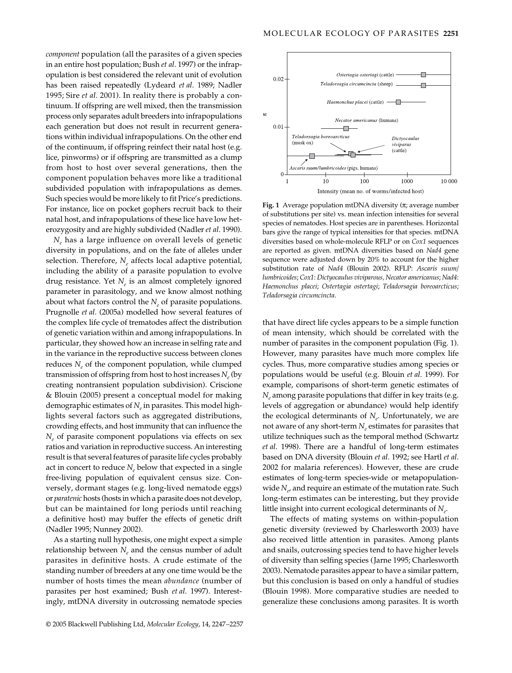*component* population (all the parasites of a given species in an entire host population; Bush *et al*. 1997) or the infrapopulation is best considered the relevant unit of evolution has been raised repeatedly (Lydeard *et al*. 1989; Nadler 1995; Sire *et al*. 2001). In reality there is probably a continuum. If offspring are well mixed, then the transmission process only separates adult breeders into infrapopulations each generation but does not result in recurrent generations within individual infrapopulations. On the other end of the continuum, if offspring reinfect their natal host (e.g. lice, pinworms) or if offspring are transmitted as a clump from host to host over several generations, then the component population behaves more like a traditional subdivided population with infrapopulations as demes. Such species would be more likely to fit Price's predictions. For instance, lice on pocket gophers recruit back to their natal host, and infrapopulations of these lice have low heterozygosity and are highly subdivided (Nadler *et al*. 1990).

*N<sub>e</sub>* has a large influence on overall levels of genetic diversity in populations, and on the fate of alleles under selection. Therefore, N<sub>e</sub> affects local adaptive potential, including the ability of a parasite population to evolve drug resistance. Yet *N<sub>e</sub>* is an almost completely ignored parameter in parasitology, and we know almost nothing about what factors control the *N<sub>e</sub>* of parasite populations. Prugnolle *et al*. (2005a) modelled how several features of the complex life cycle of trematodes affect the distribution of genetic variation within and among infrapopulations. In particular, they showed how an increase in selfing rate and in the variance in the reproductive success between clones reduces *N<sub>e</sub>* of the component population, while clumped transmission of offspring from host to host increases *N<sub>e</sub>* (by creating nontransient population subdivision). Criscione & Blouin (2005) present a conceptual model for making demographic estimates of N<sub>e</sub> in parasites. This model highlights several factors such as aggregated distributions, crowding effects, and host immunity that can influence the *Ne* of parasite component populations via effects on sex ratios and variation in reproductive success. An interesting result is that several features of parasite life cycles probably act in concert to reduce  $N_e$  below that expected in a single free-living population of equivalent census size. Conversely, dormant stages (e.g. long-lived nematode eggs) or *paratenic* hosts (hosts in which a parasite does not develop, but can be maintained for long periods until reaching a definitive host) may buffer the effects of genetic drift (Nadler 1995; Nunney 2002).

As a starting null hypothesis, one might expect a simple relationship between  $N_e$  and the census number of adult parasites in definitive hosts. A crude estimate of the standing number of breeders at any one time would be the number of hosts times the mean *abundance* (number of parasites per host examined; Bush *et al*. 1997). Interestingly, mtDNA diversity in outcrossing nematode species



**Fig. 1** Average population mtDNA diversity (π; average number of substitutions per site) vs. mean infection intensities for several species of nematodes. Host species are in parentheses. Horizontal bars give the range of typical intensities for that species. mtDNA diversities based on whole-molecule RFLP or on *Cox1* sequences are reported as given. mtDNA diversities based on *Nad4* gene sequence were adjusted down by 20% to account for the higher substitution rate of *Nad4* (Blouin 2002). RFLP: *Ascaris suum/ lumbricoides*; *Cox1*: *Dictyocaulus viviparous, Necator americanus*; *Nad4*: *Haemonchus placei*; *Ostertagia ostertagi*; *Teladorsagia boreoarcticus*; *Teladorsagia circumcincta*.

that have direct life cycles appears to be a simple function of mean intensity, which should be correlated with the number of parasites in the component population (Fig. 1). However, many parasites have much more complex life cycles. Thus, more comparative studies among species or populations would be useful (e.g. Blouin *et al*. 1999). For example, comparisons of short-term genetic estimates of *N<sub>e</sub>* among parasite populations that differ in key traits (e.g. levels of aggregation or abundance) would help identify the ecological determinants of  $N_e$ . Unfortunately, we are not aware of any short-term *N<sub>e</sub>* estimates for parasites that utilize techniques such as the temporal method (Schwartz *et al*. 1998). There are a handful of long-term estimates based on DNA diversity (Blouin *et al*. 1992; see Hartl *et al*. 2002 for malaria references). However, these are crude estimates of long-term species-wide or metapopulationwide *Ne* , and require an estimate of the mutation rate. Such long-term estimates can be interesting, but they provide little insight into current ecological determinants of  $N_{e}$ .

The effects of mating systems on within-population genetic diversity (reviewed by Charlesworth 2003) have also received little attention in parasites. Among plants and snails, outcrossing species tend to have higher levels of diversity than selfing species (Jarne 1995; Charlesworth 2003). Nematode parasites appear to have a similar pattern, but this conclusion is based on only a handful of studies (Blouin 1998). More comparative studies are needed to generalize these conclusions among parasites. It is worth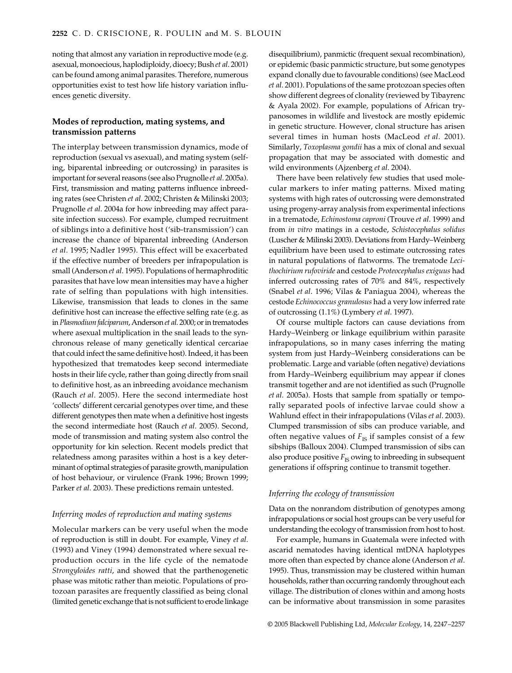noting that almost any variation in reproductive mode (e.g. asexual, monoecious, haplodiploidy, dioecy; Bush *et al*. 2001) can be found among animal parasites. Therefore, numerous opportunities exist to test how life history variation influences genetic diversity.

# **Modes of reproduction, mating systems, and transmission patterns**

The interplay between transmission dynamics, mode of reproduction (sexual vs asexual), and mating system (selfing, biparental inbreeding or outcrossing) in parasites is important for several reasons (see also Prugnolle *et al*. 2005a). First, transmission and mating patterns influence inbreeding rates (see Christen *et al*. 2002; Christen & Milinski 2003; Prugnolle *et al*. 2004a for how inbreeding may affect parasite infection success). For example, clumped recruitment of siblings into a definitive host ('sib-transmission') can increase the chance of biparental inbreeding (Anderson *et al*. 1995; Nadler 1995). This effect will be exacerbated if the effective number of breeders per infrapopulation is small (Anderson *et al*. 1995). Populations of hermaphroditic parasites that have low mean intensities may have a higher rate of selfing than populations with high intensities. Likewise, transmission that leads to clones in the same definitive host can increase the effective selfing rate (e.g. as in *Plasmodium falciparum*, Anderson *et al*. 2000; or in trematodes where asexual multiplication in the snail leads to the synchronous release of many genetically identical cercariae that could infect the same definitive host). Indeed, it has been hypothesized that trematodes keep second intermediate hosts in their life cycle, rather than going directly from snail to definitive host, as an inbreeding avoidance mechanism (Rauch *et al*. 2005). Here the second intermediate host 'collects' different cercarial genotypes over time, and these different genotypes then mate when a definitive host ingests the second intermediate host (Rauch *et al*. 2005). Second, mode of transmission and mating system also control the opportunity for kin selection. Recent models predict that relatedness among parasites within a host is a key determinant of optimal strategies of parasite growth, manipulation of host behaviour, or virulence (Frank 1996; Brown 1999; Parker *et al*. 2003). These predictions remain untested.

## *Inferring modes of reproduction and mating systems*

Molecular markers can be very useful when the mode of reproduction is still in doubt. For example, Viney *et al*. (1993) and Viney (1994) demonstrated where sexual reproduction occurs in the life cycle of the nematode *Strongyloides ratti*, and showed that the parthenogenetic phase was mitotic rather than meiotic. Populations of protozoan parasites are frequently classified as being clonal (limited genetic exchange that is not sufficient to erode linkage disequilibrium), panmictic (frequent sexual recombination), or epidemic (basic panmictic structure, but some genotypes expand clonally due to favourable conditions) (see MacLeod *et al*. 2001). Populations of the same protozoan species often show different degrees of clonality (reviewed by Tibayrenc & Ayala 2002). For example, populations of African trypanosomes in wildlife and livestock are mostly epidemic in genetic structure. However, clonal structure has arisen several times in human hosts (MacLeod *et al*. 2001). Similarly, *Toxoplasma gondii* has a mix of clonal and sexual propagation that may be associated with domestic and wild environments (Ajzenberg *et al*. 2004).

There have been relatively few studies that used molecular markers to infer mating patterns. Mixed mating systems with high rates of outcrossing were demonstrated using progeny-array analysis from experimental infections in a trematode, *Echinostoma caproni* (Trouve *et al*. 1999) and from *in vitro* matings in a cestode, *Schistocephalus solidus* (Luscher & Milinski 2003). Deviations from Hardy–Weinberg equilibrium have been used to estimate outcrossing rates in natural populations of flatworms. The trematode *Lecithochirium rufoviride* and cestode *Proteocephalus exiguus* had inferred outcrossing rates of 70% and 84%, respectively (Snabel *et al*. 1996; Vilas & Paniagua 2004), whereas the cestode *Echinococcus granulosus* had a very low inferred rate of outcrossing (1.1%) (Lymbery *et al*. 1997).

Of course multiple factors can cause deviations from Hardy–Weinberg or linkage equilibrium within parasite infrapopulations, so in many cases inferring the mating system from just Hardy–Weinberg considerations can be problematic. Large and variable (often negative) deviations from Hardy–Weinberg equilibrium may appear if clones transmit together and are not identified as such (Prugnolle *et al*. 2005a). Hosts that sample from spatially or temporally separated pools of infective larvae could show a Wahlund effect in their infrapopulations (Vilas *et al*. 2003). Clumped transmission of sibs can produce variable, and often negative values of  $F_{\text{IS}}$  if samples consist of a few sibships (Balloux 2004). Clumped transmission of sibs can also produce positive  $F_{\text{IS}}$  owing to inbreeding in subsequent generations if offspring continue to transmit together.

## *Inferring the ecology of transmission*

Data on the nonrandom distribution of genotypes among infrapopulations or social host groups can be very useful for understanding the ecology of transmission from host to host.

For example, humans in Guatemala were infected with ascarid nematodes having identical mtDNA haplotypes more often than expected by chance alone (Anderson *et al*. 1995). Thus, transmission may be clustered within human households, rather than occurring randomly throughout each village. The distribution of clones within and among hosts can be informative about transmission in some parasites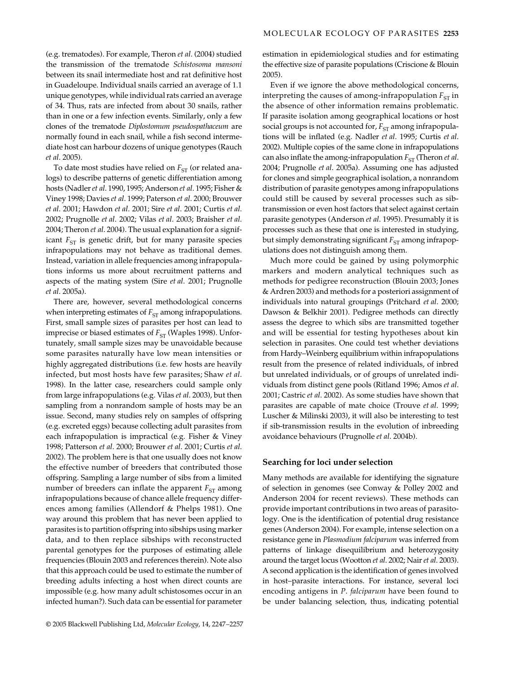(e.g. trematodes). For example, Theron *et al*. (2004) studied the transmission of the trematode *Schistosoma mansoni* between its snail intermediate host and rat definitive host in Guadeloupe. Individual snails carried an average of 1.1 unique genotypes, while individual rats carried an average of 34. Thus, rats are infected from about 30 snails, rather than in one or a few infection events. Similarly, only a few clones of the trematode *Diplostomum pseudospathaceum* are normally found in each snail, while a fish second intermediate host can harbour dozens of unique genotypes (Rauch *et al*. 2005).

To date most studies have relied on  $F_{ST}$  (or related analogs) to describe patterns of genetic differentiation among hosts (Nadler *et al*. 1990, 1995; Anderson *et al*. 1995; Fisher & Viney 1998; Davies *et al*. 1999; Paterson *et al*. 2000; Brouwer *et al*. 2001; Hawdon *et al*. 2001; Sire *et al*. 2001; Curtis *et al*. 2002; Prugnolle *et al*. 2002; Vilas *et al*. 2003; Braisher *et al*. 2004; Theron *et al*. 2004). The usual explanation for a significant  $F_{ST}$  is genetic drift, but for many parasite species infrapopulations may not behave as traditional demes. Instead, variation in allele frequencies among infrapopulations informs us more about recruitment patterns and aspects of the mating system (Sire *et al*. 2001; Prugnolle *et al*. 2005a).

There are, however, several methodological concerns when interpreting estimates of  $F_{ST}$  among infrapopulations. First, small sample sizes of parasites per host can lead to imprecise or biased estimates of  $F_{ST}$  (Waples 1998). Unfortunately, small sample sizes may be unavoidable because some parasites naturally have low mean intensities or highly aggregated distributions (i.e. few hosts are heavily infected, but most hosts have few parasites; Shaw *et al*. 1998). In the latter case, researchers could sample only from large infrapopulations (e.g. Vilas *et al*. 2003), but then sampling from a nonrandom sample of hosts may be an issue. Second, many studies rely on samples of offspring (e.g. excreted eggs) because collecting adult parasites from each infrapopulation is impractical (e.g. Fisher & Viney 1998; Patterson *et al*. 2000; Brouwer *et al*. 2001; Curtis *et al*. 2002). The problem here is that one usually does not know the effective number of breeders that contributed those offspring. Sampling a large number of sibs from a limited number of breeders can inflate the apparent  $F_{ST}$  among infrapopulations because of chance allele frequency differences among families (Allendorf & Phelps 1981). One way around this problem that has never been applied to parasites is to partition offspring into sibships using marker data, and to then replace sibships with reconstructed parental genotypes for the purposes of estimating allele frequencies (Blouin 2003 and references therein). Note also that this approach could be used to estimate the number of breeding adults infecting a host when direct counts are impossible (e.g. how many adult schistosomes occur in an infected human?). Such data can be essential for parameter

estimation in epidemiological studies and for estimating the effective size of parasite populations (Criscione & Blouin 2005).

Even if we ignore the above methodological concerns, interpreting the causes of among-infrapopulation  $F_{ST}$  in the absence of other information remains problematic. If parasite isolation among geographical locations or host social groups is not accounted for,  $F_{ST}$  among infrapopulations will be inflated (e.g. Nadler *et al*. 1995; Curtis *et al*. 2002). Multiple copies of the same clone in infrapopulations can also inflate the among-infrapopulation  $F_{ST}$  (Theron *et al.* 2004; Prugnolle *et al*. 2005a). Assuming one has adjusted for clones and simple geographical isolation, a nonrandom distribution of parasite genotypes among infrapopulations could still be caused by several processes such as sibtransmission or even host factors that select against certain parasite genotypes (Anderson *et al*. 1995). Presumably it is processes such as these that one is interested in studying, but simply demonstrating significant  $F_{ST}$  among infrapopulations does not distinguish among them.

Much more could be gained by using polymorphic markers and modern analytical techniques such as methods for pedigree reconstruction (Blouin 2003; Jones & Ardren 2003) and methods for a posteriori assignment of individuals into natural groupings (Pritchard *et al*. 2000; Dawson & Belkhir 2001). Pedigree methods can directly assess the degree to which sibs are transmitted together and will be essential for testing hypotheses about kin selection in parasites. One could test whether deviations from Hardy–Weinberg equilibrium within infrapopulations result from the presence of related individuals, of inbred but unrelated individuals, or of groups of unrelated individuals from distinct gene pools (Ritland 1996; Amos *et al*. 2001; Castric *et al*. 2002). As some studies have shown that parasites are capable of mate choice (Trouve *et al*. 1999; Luscher & Milinski 2003), it will also be interesting to test if sib-transmission results in the evolution of inbreeding avoidance behaviours (Prugnolle *et al*. 2004b).

## **Searching for loci under selection**

Many methods are available for identifying the signature of selection in genomes (see Conway & Polley 2002 and Anderson 2004 for recent reviews). These methods can provide important contributions in two areas of parasitology. One is the identification of potential drug resistance genes (Anderson 2004). For example, intense selection on a resistance gene in *Plasmodium falciparum* was inferred from patterns of linkage disequilibrium and heterozygosity around the target locus (Wootton *et al*. 2002; Nair *et al*. 2003). A second application is the identification of genes involved in host–parasite interactions. For instance, several loci encoding antigens in *P*. *falciparum* have been found to be under balancing selection, thus, indicating potential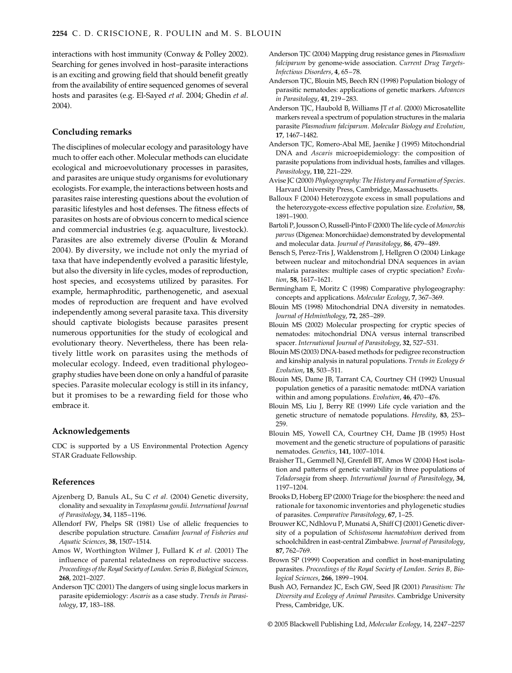interactions with host immunity (Conway & Polley 2002). Searching for genes involved in host–parasite interactions is an exciting and growing field that should benefit greatly from the availability of entire sequenced genomes of several hosts and parasites (e.g. El-Sayed *et al*. 2004; Ghedin *et al*. 2004).

## **Concluding remarks**

The disciplines of molecular ecology and parasitology have much to offer each other. Molecular methods can elucidate ecological and microevolutionary processes in parasites, and parasites are unique study organisms for evolutionary ecologists. For example, the interactions between hosts and parasites raise interesting questions about the evolution of parasitic lifestyles and host defenses. The fitness effects of parasites on hosts are of obvious concern to medical science and commercial industries (e.g. aquaculture, livestock). Parasites are also extremely diverse (Poulin & Morand 2004). By diversity, we include not only the myriad of taxa that have independently evolved a parasitic lifestyle, but also the diversity in life cycles, modes of reproduction, host species, and ecosystems utilized by parasites. For example, hermaphroditic, parthenogenetic, and asexual modes of reproduction are frequent and have evolved independently among several parasite taxa. This diversity should captivate biologists because parasites present numerous opportunities for the study of ecological and evolutionary theory. Nevertheless, there has been relatively little work on parasites using the methods of molecular ecology. Indeed, even traditional phylogeography studies have been done on only a handful of parasite species. Parasite molecular ecology is still in its infancy, but it promises to be a rewarding field for those who embrace it.

## **Acknowledgements**

CDC is supported by a US Environmental Protection Agency STAR Graduate Fellowship.

#### **References**

- Ajzenberg D, Banuls AL, Su C *et al.* (2004) Genetic diversity, clonality and sexuality in *Toxoplasma gondii*. *International Journal of Parasitology*, **34**, 1185–1196.
- Allendorf FW, Phelps SR (1981) Use of allelic frequencies to describe population structure. *Canadian Journal of Fisheries and Aquatic Sciences*, **38**, 1507–1514.
- Amos W, Worthington Wilmer J, Fullard K *et al.* (2001) The influence of parental relatedness on reproductive success. *Proceedings of the Royal Society of London. Series B, Biological Sciences*, **268**, 2021–2027.
- Anderson TJC (2001) The dangers of using single locus markers in parasite epidemiology: *Ascaris* as a case study. *Trends in Parasitology*, **17**, 183–188.
- Anderson TJC (2004) Mapping drug resistance genes in *Plasmodium falciparum* by genome-wide association. *Current Drug Targets-Infectious Disorders*, **4**, 65–78.
- Anderson TJC, Blouin MS, Beech RN (1998) Population biology of parasitic nematodes: applications of genetic markers. *Advances in Parasitology*, **41**, 219–283.
- Anderson TJC, Haubold B, Williams JT *et al.* (2000) Microsatellite markers reveal a spectrum of population structures in the malaria parasite *Plasmodium falciparum*. *Molecular Biology and Evolution*, **17**, 1467–1482.
- Anderson TJC, Romero-Abal ME, Jaenike J (1995) Mitochondrial DNA and *Ascaris* microepidemiology: the composition of parasite populations from individual hosts, families and villages. *Parasitology*, **110**, 221–229.
- Avise JC (2000) *Phylogeography: The History and Formation of Species*. Harvard University Press, Cambridge, Massachusetts.
- Balloux F (2004) Heterozygote excess in small populations and the heterozygote-excess effective population size. *Evolution*, **58**, 1891–1900.
- Bartoli P, Jousson O, Russell-Pinto F (2000) The life cycle of *Monorchis parvus* (Digenea: Monorchiidae) demonstrated by developmental and molecular data. *Journal of Parasitology*, **86**, 479–489.
- Bensch S, Perez-Tris J, Waldenstrom J, Hellgren O (2004) Linkage between nuclear and mitochondrial DNA sequences in avian malaria parasites: multiple cases of cryptic speciation? *Evolution*, **58**, 1617–1621.
- Bermingham E, Moritz C (1998) Comparative phylogeography: concepts and applications. *Molecular Ecology*, **7**, 367–369.
- Blouin MS (1998) Mitochondrial DNA diversity in nematodes. *Journal of Helminthology*, **72**, 285–289.
- Blouin MS (2002) Molecular prospecting for cryptic species of nematodes: mitochondrial DNA versus internal transcribed spacer. *International Journal of Parasitology*, **32**, 527–531.
- Blouin MS (2003) DNA-based methods for pedigree reconstruction and kinship analysis in natural populations. *Trends in Ecology & Evolution*, **18**, 503–511.
- Blouin MS, Dame JB, Tarrant CA, Courtney CH (1992) Unusual population genetics of a parasitic nematode: mtDNA variation within and among populations. *Evolution*, **46**, 470–476.
- Blouin MS, Liu J, Berry RE (1999) Life cycle variation and the genetic structure of nematode populations. *Heredity*, **83**, 253– 259.
- Blouin MS, Yowell CA, Courtney CH, Dame JB (1995) Host movement and the genetic structure of populations of parasitic nematodes. *Genetics*, **141**, 1007–1014.
- Braisher TL, Gemmell NJ, Grenfell BT, Amos W (2004) Host isolation and patterns of genetic variability in three populations of *Teladorsagia* from sheep. *International Journal of Parasitology*, **34**, 1197–1204.
- Brooks D, Hoberg EP (2000) Triage for the biosphere: the need and rationale for taxonomic inventories and phylogenetic studies of parasites. *Comparative Parasitology*, **67**, 1–25.
- Brouwer KC, Ndhlovu P, Munatsi A, Shiff CJ (2001) Genetic diversity of a population of *Schistosoma haematobium* derived from schoolchildren in east-central Zimbabwe. *Journal of Parasitology*, **87**, 762–769.
- Brown SP (1999) Cooperation and conflict in host-manipulating parasites. *Proceedings of the Royal Society of London*. *Series B, Biological Sciences*, **266**, 1899–1904.
- Bush AO, Fernandez JC, Esch GW, Seed JR (2001) *Parasitism: The Diversity and Ecology of Animal Parasites*. Cambridge University Press, Cambridge, UK.

© 2005 Blackwell Publishing Ltd, *Molecular Ecology*, 14, 2247–2257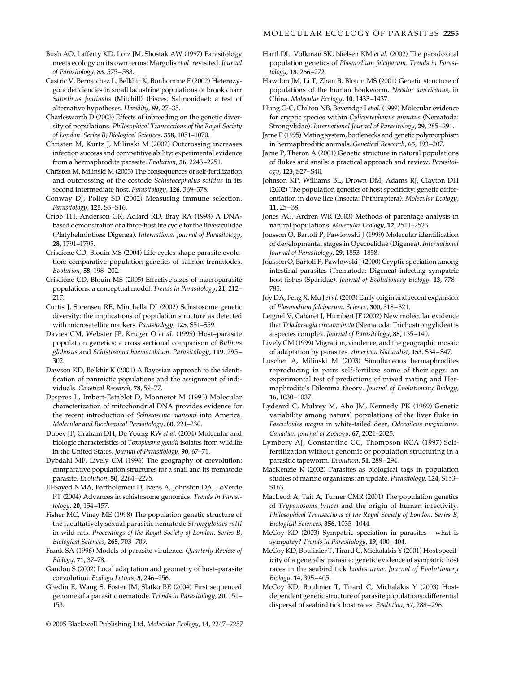- Bush AO, Lafferty KD, Lotz JM, Shostak AW (1997) Parasitology meets ecology on its own terms: Margolis *et al.* revisited. *Journal of Parasitology*, **83**, 575–583.
- Castric V, Bernatchez L, Belkhir K, Bonhomme F (2002) Heterozygote deficiencies in small lacustrine populations of brook charr *Salvelinus fontinalis* (Mitchill) (Pisces, Salmonidae): a test of alternative hypotheses. *Heredity*, **89**, 27–35.
- Charlesworth D (2003) Effects of inbreeding on the genetic diversity of populations. *Philosophical Transactions of the Royal Society of London*. *Series B, Biological Sciences*, **358**, 1051–1070.
- Christen M, Kurtz J, Milinski M (2002) Outcrossing increases infection success and competitive ability: experimental evidence from a hermaphrodite parasite. *Evolution*, **56**, 2243–2251.
- Christen M, Milinski M (2003) The consequences of self-fertilization and outcrossing of the cestode *Schistocephalus solidus* in its second intermediate host. *Parasitology*, **126**, 369–378.
- Conway DJ, Polley SD (2002) Measuring immune selection. *Parasitology*, **125**, S3–S16.
- Cribb TH, Anderson GR, Adlard RD, Bray RA (1998) A DNAbased demonstration of a three-host life cycle for the Bivesiculidae (Platyhelminthes: Digenea). *International Journal of Parasitology*, **28**, 1791–1795.
- Criscione CD, Blouin MS (2004) Life cycles shape parasite evolution: comparative population genetics of salmon trematodes. *Evolution*, **58**, 198–202.
- Criscione CD, Blouin MS (2005) Effective sizes of macroparasite populations: a conceptual model. *Trends in Parasitology*, **21**, 212– 217.
- Curtis J, Sorensen RE, Minchella DJ (2002) Schistosome genetic diversity: the implications of population structure as detected with microsatellite markers. *Parasitology*, **125**, S51–S59.
- Davies CM, Webster JP, Kruger O *et al.* (1999) Host–parasite population genetics: a cross sectional comparison of *Bulinus globosus* and *Schistosoma haematobium*. *Parasitology*, **119**, 295– 302.
- Dawson KD, Belkhir K (2001) A Bayesian approach to the identification of panmictic populations and the assignment of individuals. *Genetical Research*, **78**, 59–77.
- Despres L, Imbert-Establet D, Monnerot M (1993) Molecular characterization of mitochondrial DNA provides evidence for the recent introduction of *Schistosoma mansoni* into America. *Molecular and Biochemical Parasitology*, **60**, 221–230.
- Dubey JP, Graham DH, De Young RW *et al.* (2004) Molecular and biologic characteristics of *Toxoplasma gondii* isolates from wildlife in the United States. *Journal of Parasitology*, **90**, 67–71.
- Dybdahl MF, Lively CM (1996) The geography of coevolution: comparative population structures for a snail and its trematode parasite. *Evolution*, **50**, 2264–2275.
- El-Sayed NMA, Bartholomeu D, Ivens A, Johnston DA, LoVerde PT (2004) Advances in schistosome genomics. *Trends in Parasitology*, **20**, 154–157.
- Fisher MC, Viney ME (1998) The population genetic structure of the facultatively sexual parasitic nematode *Strongyloides ratti* in wild rats. *Proceedings of the Royal Society of London*. *Series B, Biological Sciences*, **265**, 703–709.
- Frank SA (1996) Models of parasite virulence. *Quarterly Review of Biology*, **71**, 37–78.
- Gandon S (2002) Local adaptation and geometry of host–parasite coevolution. *Ecology Letters*, **5**, 246–256.
- Ghedin E, Wang S, Foster JM, Slatko BE (2004) First sequenced genome of a parasitic nematode. *Trends in Parasitology*, **20**, 151– 153.
- © 2005 Blackwell Publishing Ltd, *Molecular Ecology*, 14, 2247–2257
- Hartl DL, Volkman SK, Nielsen KM *et al.* (2002) The paradoxical population genetics of *Plasmodium falciparum*. *Trends in Parasitology*, **18**, 266–272.
- Hawdon JM, Li T, Zhan B, Blouin MS (2001) Genetic structure of populations of the human hookworm, *Necator americanus*, in China. *Molecular Ecology*, **10**, 1433–1437.
- Hung G-C, Chilton NB, Beveridge I *et al.* (1999) Molecular evidence for cryptic species within *Cylicostephanus minutus* (Nematoda: Strongylidae). *International Journal of Parasitology*, **29**, 285–291.
- Jarne P (1995) Mating system, bottlenecks and genetic polymorphism in hermaphroditic animals. *Genetical Research*, **65**, 193–207.
- Jarne P, Theron A (2001) Genetic structure in natural populations of flukes and snails: a practical approach and review. *Parasitology*, **123**, S27–S40.
- Johnson KP, Williams BL, Drown DM, Adams RJ, Clayton DH (2002) The population genetics of host specificity: genetic differentiation in dove lice (Insecta: Phthiraptera). *Molecular Ecology*, **11**, 25–38.
- Jones AG, Ardren WR (2003) Methods of parentage analysis in natural populations. *Molecular Ecology*, **12**, 2511–2523.
- Jousson O, Bartoli P, Pawlowski J (1999) Molecular identification of developmental stages in Opecoelidae (Digenea). *International Journal of Parasitology*, **29**, 1853–1858.
- Jousson O, Bartoli P, Pawlowski J (2000) Cryptic speciation among intestinal parasites (Trematoda: Digenea) infecting sympatric host fishes (Sparidae). *Journal of Evolutionary Biology*, **13**, 778– 785.
- Joy DA, Feng X, Mu J *et al.* (2003) Early origin and recent expansion of *Plasmodium falciparum*. *Science*, **300**, 318–321.
- Leignel V, Cabaret J, Humbert JF (2002) New molecular evidence that *Teladorsagia circumcincta* (Nematoda: Trichostrongylidea) is a species complex. *Journal of Parasitology*, **88**, 135–140.
- Lively CM (1999) Migration, virulence, and the geographic mosaic of adaptation by parasites. *American Naturalist*, **153**, S34–S47.
- Luscher A, Milinski M (2003) Simultaneous hermaphrodites reproducing in pairs self-fertilize some of their eggs: an experimental test of predictions of mixed mating and Hermaphrodite's Dilemma theory. *Journal of Evolutionary Biology*, **16**, 1030–1037.
- Lydeard C, Mulvey M, Aho JM, Kennedy PK (1989) Genetic variability among natural populations of the liver fluke in *Fascioloides magna* in white-tailed deer, *Odocoileus virginianus*. *Canadian Journal of Zoology*, **67**, 2021–2025.
- Lymbery AJ, Constantine CC, Thompson RCA (1997) Selffertilization without genomic or population structuring in a parasitic tapeworm. *Evolution*, **51**, 289–294.
- MacKenzie K (2002) Parasites as biological tags in population studies of marine organisms: an update. *Parasitology*, **124**, S153– S163.
- MacLeod A, Tait A, Turner CMR (2001) The population genetics of *Trypanosoma brucei* and the origin of human infectivity. *Philosophical Transactions of the Royal Society of London*. *Series B, Biological Sciences*, **356**, 1035–1044.
- McCoy KD (2003) Sympatric speciation in parasites what is sympatry? *Trends in Parasitology*, **19**, 400–404.
- McCoy KD, Boulinier T, Tirard C, Michalakis Y (2001) Host specificity of a generalist parasite: genetic evidence of sympatric host races in the seabird tick *Ixodes uriae*. *Journal of Evolutionary Biology*, **14**, 395–405.
- McCoy KD, Boulinier T, Tirard C, Michalakis Y (2003) Hostdependent genetic structure of parasite populations: differential dispersal of seabird tick host races. *Evolution*, **57**, 288–296.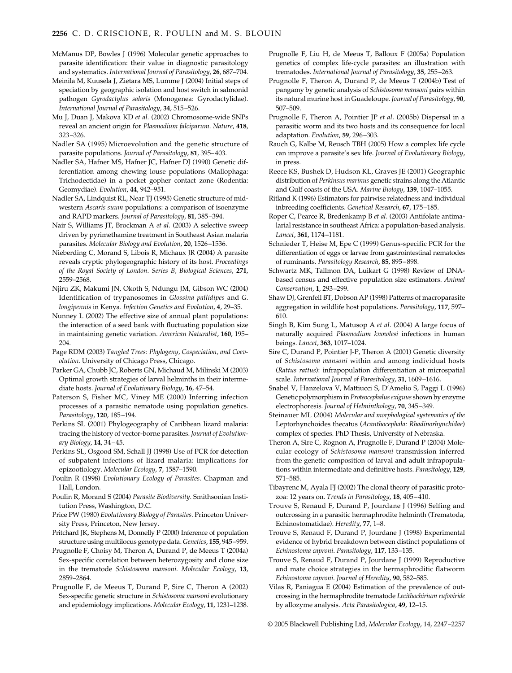McManus DP, Bowles J (1996) Molecular genetic approaches to parasite identification: their value in diagnostic parasitology and systematics. *International Journal of Parasitology*, **26**, 687–704.

- Meinila M, Kuusela J, Zietara MS, Lumme J (2004) Initial steps of speciation by geographic isolation and host switch in salmonid pathogen *Gyrodactylus salaris* (Monogenea: Gyrodactylidae). *International Journal of Parasitology*, **34**, 515–526.
- Mu J, Duan J, Makova KD *et al.* (2002) Chromosome-wide SNPs reveal an ancient origin for *Plasmodium falciparum*. *Nature*, **418**, 323–326.
- Nadler SA (1995) Microevolution and the genetic structure of parasite populations. *Journal of Parasitology*, **81**, 395–403.
- Nadler SA, Hafner MS, Hafner JC, Hafner DJ (1990) Genetic differentiation among chewing louse populations (Mallophaga: Trichodectidae) in a pocket gopher contact zone (Rodentia: Geomydiae). *Evolution*, **44**, 942–951.
- Nadler SA, Lindquist RL, Near TJ (1995) Genetic structure of midwestern *Ascaris suum* populations: a comparison of isoenzyme and RAPD markers. *Journal of Parasitology*, **81**, 385–394.
- Nair S, Williams JT, Brockman A *et al.* (2003) A selective sweep driven by pyrimethamine treatment in Southeast Asian malaria parasites. *Molecular Biology and Evolution*, **20**, 1526–1536.
- Nieberding C, Morand S, Libois R, Michaux JR (2004) A parasite reveals cryptic phylogeographic history of its host. *Proceedings of the Royal Society of London*. *Series B, Biological Sciences*, **271**, 2559–2568.
- Njiru ZK, Makumi JN, Okoth S, Ndungu JM, Gibson WC (2004) Identification of trypanosomes in *Glossina pallidipes* and *G. longipennis* in Kenya. *Infection Genetics and Evolution*, **4**, 29–35.
- Nunney L (2002) The effective size of annual plant populations: the interaction of a seed bank with fluctuating population size in maintaining genetic variation. *American Naturalist*, **160**, 195– 204.
- Page RDM (2003) *Tangled Trees: Phylogeny, Cospeciation, and Coevolution*. University of Chicago Press, Chicago.
- Parker GA, Chubb JC, Roberts GN, Michaud M, Milinski M (2003) Optimal growth strategies of larval helminths in their intermediate hosts. *Journal of Evolutionary Biology*, **16**, 47–54.
- Paterson S, Fisher MC, Viney ME (2000) Inferring infection processes of a parasitic nematode using population genetics. *Parasitology*, **120**, 185–194.
- Perkins SL (2001) Phylogeography of Caribbean lizard malaria: tracing the history of vector-borne parasites. *Journal of Evolutionary Biology*, **14**, 34–45.
- Perkins SL, Osgood SM, Schall JJ (1998) Use of PCR for detection of subpatent infections of lizard malaria: implications for epizootiology. *Molecular Ecology*, **7**, 1587–1590.
- Poulin R (1998) *Evolutionary Ecology of Parasites*. Chapman and Hall, London.
- Poulin R, Morand S (2004) *Parasite Biodiversity*. Smithsonian Institution Press, Washington, D.C.
- Price PW (1980) *Evolutionary Biology of Parasites*. Princeton University Press, Princeton, New Jersey.
- Pritchard JK, Stephens M, Donnelly P (2000) Inference of population structure using multilocus genotype data. *Genetics*, **155**, 945–959.
- Prugnolle F, Choisy M, Theron A, Durand P, de Meeus T (2004a) Sex-specific correlation between heterozygosity and clone size in the trematode *Schistosoma mansoni*. *Molecular Ecology*, **13**, 2859–2864.
- Prugnolle F, de Meeus T, Durand P, Sire C, Theron A (2002) Sex-specific genetic structure in *Schistosoma mansoni* evolutionary and epidemiology implications. *Molecular Ecology*, **11**, 1231–1238.
- Prugnolle F, Liu H, de Meeus T, Balloux F (2005a) Population genetics of complex life-cycle parasites: an illustration with trematodes. *International Journal of Parasitology*, **35**, 255–263.
- Prugnolle F, Theron A, Durand P, de Meeus T (2004b) Test of pangamy by genetic analysis of *Schistosoma mansoni* pairs within its natural murine host in Guadeloupe. *Journal of Parasitology*, **90**, 507–509.
- Prugnolle F, Theron A, Pointier JP *et al.* (2005b) Dispersal in a parasitic worm and its two hosts and its consequence for local adaptation. *Evolution*, **59**, 296–303.
- Rauch G, Kalbe M, Reusch TBH (2005) How a complex life cycle can improve a parasite's sex life. *Journal of Evolutionary Biology*, in press.
- Reece KS, Bushek D, Hudson KL, Graves JE (2001) Geographic distribution of *Perkinsus marinus* genetic strains along the Atlantic and Gulf coasts of the USA. *Marine Biology*, **139**, 1047–1055.
- Ritland K (1996) Estimators for pairwise relatedness and individual inbreeding coefficients. *Genetical Research*, **67**, 175–185.
- Roper C, Pearce R, Bredenkamp B *et al.* (2003) Antifolate antimalarial resistance in southeast Africa: a population-based analysis. *Lancet*, **361**, 1174–1181.
- Schnieder T, Heise M, Epe C (1999) Genus-specific PCR for the differentiation of eggs or larvae from gastrointestinal nematodes of ruminants. *Parasitology Research*, **85**, 895–898.
- Schwartz MK, Tallmon DA, Luikart G (1998) Review of DNAbased census and effective population size estimators. *Animal Conservation*, **1**, 293–299.
- Shaw DJ, Grenfell BT, Dobson AP (1998) Patterns of macroparasite aggregation in wildlife host populations. *Parasitology*, **117**, 597– 610.
- Singh B, Kim Sung L, Matusop A *et al.* (2004) A large focus of naturally acquired *Plasmodium knowlesi* infections in human beings. *Lancet*, **363**, 1017–1024.
- Sire C, Durand P, Pointier J-P, Theron A (2001) Genetic diversity of *Schistosoma mansoni* within and among individual hosts (*Rattus rattus*): infrapopulation differentiation at microspatial scale. *International Journal of Parasitology*, **31**, 1609–1616.
- Snabel V, Hanzelova V, Mattiucci S, D'Amelio S, Paggi L (1996) Genetic polymorphism in *Proteocephalus exiguus* shown by enzyme electrophoresis. *Journal of Helminthology*, **70**, 345–349.
- Steinauer ML (2004) *Molecular and morphological systematics of the* Leptorhynchoides thecatus (*Acanthocephala: Rhadinorhynchidae*) complex of species. PhD Thesis, University of Nebraska.
- Theron A, Sire C, Rognon A, Prugnolle F, Durand P (2004) Molecular ecology of *Schistosoma mansoni* transmission inferred from the genetic composition of larval and adult infrapopulations within intermediate and definitive hosts. *Parasitology*, **129**, 571–585.
- Tibayrenc M, Ayala FJ (2002) The clonal theory of parasitic protozoa: 12 years on. *Trends in Parasitology*, **18**, 405–410.
- Trouve S, Renaud F, Durand P, Jourdane J (1996) Selfing and outcrossing in a parasitic hermaphrodite helminth (Trematoda, Echinostomatidae). *Heredity*, **77**, 1–8.
- Trouve S, Renaud F, Durand P, Jourdane J (1998) Experimental evidence of hybrid breakdown between distinct populations of *Echinostoma caproni*. *Parasitology*, **117**, 133–135.
- Trouve S, Renaud F, Durand P, Jourdane J (1999) Reproductive and mate choice strategies in the hermaphroditic flatworm *Echinostoma caproni*. *Journal of Heredity*, **90**, 582–585.
- Vilas R, Paniagua E (2004) Estimation of the prevalence of outcrossing in the hermaphrodite trematode *Lecithochirium rufoviride* by allozyme analysis. *Acta Parasitologica*, **49**, 12–15.

© 2005 Blackwell Publishing Ltd, *Molecular Ecology*, 14, 2247–2257